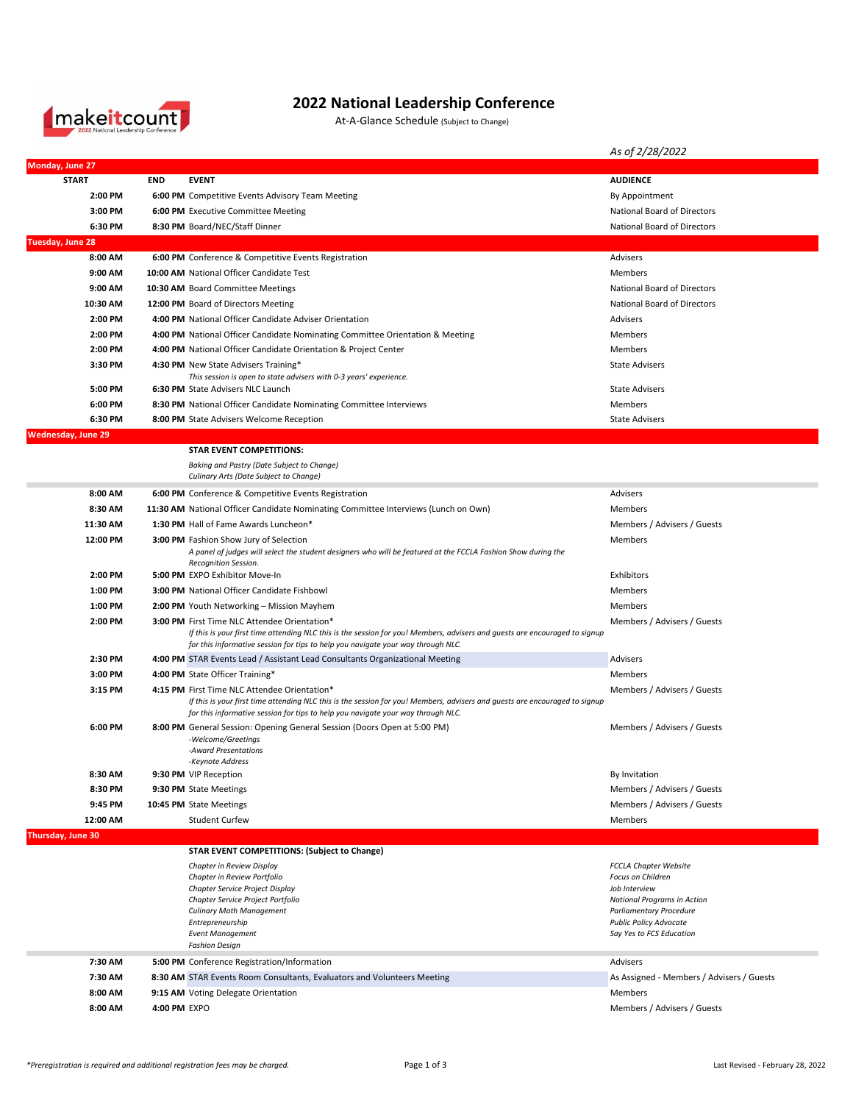

## **2022 National Leadership Conference**

At-A-Glance Schedule (Subject to Change)

|                           |              |                                                                                                                                                                  | As of 2/28/2022                                                 |
|---------------------------|--------------|------------------------------------------------------------------------------------------------------------------------------------------------------------------|-----------------------------------------------------------------|
| Monday, June 27           |              |                                                                                                                                                                  |                                                                 |
| <b>START</b>              | <b>END</b>   | <b>EVENT</b>                                                                                                                                                     | <b>AUDIENCE</b>                                                 |
| 2:00 PM                   |              | 6:00 PM Competitive Events Advisory Team Meeting                                                                                                                 | By Appointment                                                  |
| 3:00 PM                   |              | 6:00 PM Executive Committee Meeting                                                                                                                              | National Board of Directors                                     |
| 6:30 PM                   |              | 8:30 PM Board/NEC/Staff Dinner                                                                                                                                   | <b>National Board of Directors</b>                              |
| <b>Tuesday, June 28</b>   |              |                                                                                                                                                                  |                                                                 |
| 8:00 AM                   |              | 6:00 PM Conference & Competitive Events Registration                                                                                                             | Advisers                                                        |
| 9:00 AM                   |              | 10:00 AM National Officer Candidate Test                                                                                                                         | Members                                                         |
| 9:00 AM                   |              | 10:30 AM Board Committee Meetings                                                                                                                                | National Board of Directors                                     |
| 10:30 AM                  |              | 12:00 PM Board of Directors Meeting                                                                                                                              | National Board of Directors                                     |
| 2:00 PM                   |              | 4:00 PM National Officer Candidate Adviser Orientation                                                                                                           | Advisers                                                        |
| 2:00 PM                   |              | 4:00 PM National Officer Candidate Nominating Committee Orientation & Meeting                                                                                    | Members                                                         |
| 2:00 PM                   |              | 4:00 PM National Officer Candidate Orientation & Project Center                                                                                                  | Members                                                         |
| 3:30 PM                   |              | 4:30 PM New State Advisers Training*                                                                                                                             | <b>State Advisers</b>                                           |
| 5:00 PM                   |              | This session is open to state advisers with 0-3 years' experience.<br>6:30 PM State Advisers NLC Launch                                                          | <b>State Advisers</b>                                           |
| 6:00 PM                   |              | 8:30 PM National Officer Candidate Nominating Committee Interviews                                                                                               | Members                                                         |
| 6:30 PM                   |              | 8:00 PM State Advisers Welcome Reception                                                                                                                         | <b>State Advisers</b>                                           |
| <b>Wednesday, June 29</b> |              |                                                                                                                                                                  |                                                                 |
|                           |              | <b>STAR EVENT COMPETITIONS:</b>                                                                                                                                  |                                                                 |
|                           |              | Baking and Pastry (Date Subject to Change)                                                                                                                       |                                                                 |
|                           |              | Culinary Arts (Date Subject to Change)                                                                                                                           |                                                                 |
| 8:00 AM                   |              | 6:00 PM Conference & Competitive Events Registration                                                                                                             | Advisers                                                        |
| 8:30 AM                   |              | 11:30 AM National Officer Candidate Nominating Committee Interviews (Lunch on Own)                                                                               | Members                                                         |
| 11:30 AM                  |              | 1:30 PM Hall of Fame Awards Luncheon*                                                                                                                            | Members / Advisers / Guests                                     |
| 12:00 PM                  |              | 3:00 PM Fashion Show Jury of Selection                                                                                                                           | Members                                                         |
|                           |              | A panel of judges will select the student designers who will be featured at the FCCLA Fashion Show during the<br>Recognition Session.                            |                                                                 |
| 2:00 PM                   |              | 5:00 PM EXPO Exhibitor Move-In                                                                                                                                   | Exhibitors                                                      |
| 1:00 PM                   |              | <b>3:00 PM</b> National Officer Candidate Fishbowl                                                                                                               | Members                                                         |
| 1:00 PM                   |              | 2:00 PM Youth Networking - Mission Mayhem                                                                                                                        | Members                                                         |
| 2:00 PM                   |              | <b>3:00 PM</b> First Time NLC Attendee Orientation*                                                                                                              | Members / Advisers / Guests                                     |
|                           |              | If this is your first time attending NLC this is the session for you! Members, advisers and guests are encouraged to signup                                      |                                                                 |
| 2:30 PM                   |              | for this informative session for tips to help you navigate your way through NLC.<br>4:00 PM STAR Events Lead / Assistant Lead Consultants Organizational Meeting | Advisers                                                        |
| 3:00 PM                   |              | 4:00 PM State Officer Training*                                                                                                                                  | Members                                                         |
| 3:15 PM                   |              | 4:15 PM First Time NLC Attendee Orientation*                                                                                                                     | Members / Advisers / Guests                                     |
|                           |              | If this is your first time attending NLC this is the session for you! Members, advisers and guests are encouraged to signup                                      |                                                                 |
|                           |              | for this informative session for tips to help you navigate your way through NLC.                                                                                 |                                                                 |
| 6:00 PM                   |              | 8:00 PM General Session: Opening General Session (Doors Open at 5:00 PM)                                                                                         | Members / Advisers / Guests                                     |
|                           |              | -Welcome/Greetings<br>-Award Presentations                                                                                                                       |                                                                 |
|                           |              | -Keynote Address                                                                                                                                                 |                                                                 |
| 8:30 AM                   |              | 9:30 PM VIP Reception                                                                                                                                            | By Invitation                                                   |
| 8:30 PM                   |              | 9:30 PM State Meetings                                                                                                                                           | Members / Advisers / Guests                                     |
| 9:45 PM                   |              | 10:45 PM State Meetings                                                                                                                                          | Members / Advisers / Guests                                     |
| 12:00 AM                  |              | <b>Student Curfew</b>                                                                                                                                            | Members                                                         |
| Thursday, June 30         |              |                                                                                                                                                                  |                                                                 |
|                           |              | <b>STAR EVENT COMPETITIONS: (Subject to Change)</b>                                                                                                              |                                                                 |
|                           |              | Chapter in Review Display<br>Chapter in Review Portfolio                                                                                                         | <b>FCCLA Chapter Website</b><br>Focus on Children               |
|                           |              | Chapter Service Project Display                                                                                                                                  | Job Interview                                                   |
|                           |              | Chapter Service Project Portfolio                                                                                                                                | <b>National Programs in Action</b>                              |
|                           |              | <b>Culinary Math Management</b><br>Entrepreneurship                                                                                                              | <b>Parliamentary Procedure</b><br><b>Public Policy Advocate</b> |
|                           |              | <b>Event Management</b>                                                                                                                                          | Say Yes to FCS Education                                        |
|                           |              | <b>Fashion Design</b>                                                                                                                                            |                                                                 |
| 7:30 AM                   |              | 5:00 PM Conference Registration/Information                                                                                                                      | Advisers                                                        |
| 7:30 AM                   |              | 8:30 AM STAR Events Room Consultants, Evaluators and Volunteers Meeting                                                                                          | As Assigned - Members / Advisers / Guests                       |
| 8:00 AM                   |              | 9:15 AM Voting Delegate Orientation                                                                                                                              | Members                                                         |
| 8:00 AM                   | 4:00 PM EXPO |                                                                                                                                                                  | Members / Advisers / Guests                                     |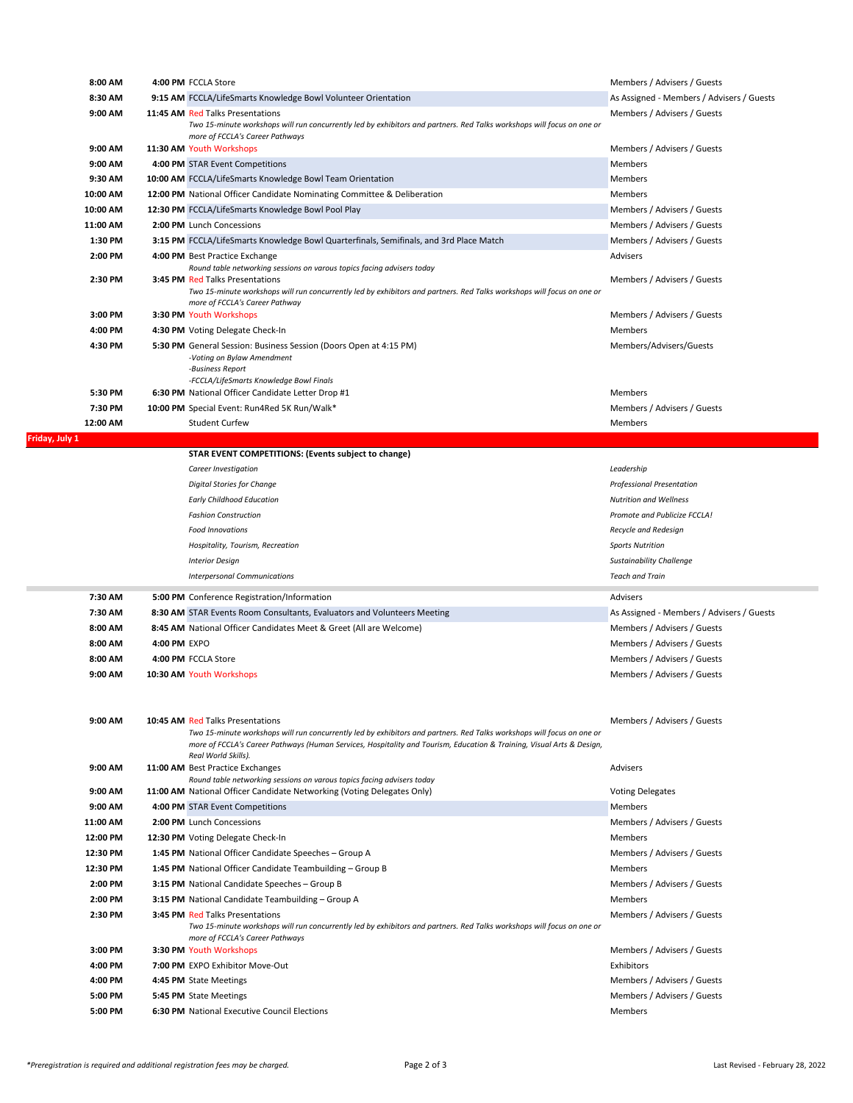| 8:00 AM            |              | 4:00 PM FCCLA Store                                                                                                                                                                                                                                                                                        | Members / Advisers / Guests                                       |
|--------------------|--------------|------------------------------------------------------------------------------------------------------------------------------------------------------------------------------------------------------------------------------------------------------------------------------------------------------------|-------------------------------------------------------------------|
| 8:30 AM            |              | 9:15 AM FCCLA/LifeSmarts Knowledge Bowl Volunteer Orientation                                                                                                                                                                                                                                              | As Assigned - Members / Advisers / Guests                         |
| 9:00 AM            |              | 11:45 AM Red Talks Presentations<br>Two 15-minute workshops will run concurrently led by exhibitors and partners. Red Talks workshops will focus on one or<br>more of FCCLA's Career Pathways                                                                                                              | Members / Advisers / Guests                                       |
| 9:00 AM            |              | 11:30 AM Youth Workshops                                                                                                                                                                                                                                                                                   | Members / Advisers / Guests                                       |
| 9:00 AM            |              | 4:00 PM STAR Event Competitions                                                                                                                                                                                                                                                                            | Members                                                           |
| 9:30 AM            |              | 10:00 AM FCCLA/LifeSmarts Knowledge Bowl Team Orientation                                                                                                                                                                                                                                                  | Members                                                           |
| 10:00 AM           |              | 12:00 PM National Officer Candidate Nominating Committee & Deliberation                                                                                                                                                                                                                                    | Members                                                           |
| 10:00 AM           |              | 12:30 PM FCCLA/LifeSmarts Knowledge Bowl Pool Play                                                                                                                                                                                                                                                         | Members / Advisers / Guests                                       |
| 11:00 AM           |              | 2:00 PM Lunch Concessions                                                                                                                                                                                                                                                                                  | Members / Advisers / Guests                                       |
| 1:30 PM            |              | 3:15 PM FCCLA/LifeSmarts Knowledge Bowl Quarterfinals, Semifinals, and 3rd Place Match                                                                                                                                                                                                                     | Members / Advisers / Guests                                       |
| 2:00 PM            |              | 4:00 PM Best Practice Exchange                                                                                                                                                                                                                                                                             | Advisers                                                          |
| 2:30 PM            |              | Round table networking sessions on varous topics facing advisers today<br><b>3:45 PM Red Talks Presentations</b><br>Two 15-minute workshops will run concurrently led by exhibitors and partners. Red Talks workshops will focus on one or<br>more of FCCLA's Career Pathway                               | Members / Advisers / Guests                                       |
| 3:00 PM            |              | 3:30 PM Youth Workshops                                                                                                                                                                                                                                                                                    | Members / Advisers / Guests                                       |
| 4:00 PM            |              | 4:30 PM Voting Delegate Check-In                                                                                                                                                                                                                                                                           | Members                                                           |
| 4:30 PM            |              | 5:30 PM General Session: Business Session (Doors Open at 4:15 PM)<br>-Voting on Bylaw Amendment<br>-Business Report                                                                                                                                                                                        | Members/Advisers/Guests                                           |
|                    |              | -FCCLA/LifeSmarts Knowledge Bowl Finals                                                                                                                                                                                                                                                                    |                                                                   |
| 5:30 PM            |              | 6:30 PM National Officer Candidate Letter Drop #1                                                                                                                                                                                                                                                          | Members                                                           |
| 7:30 PM            |              | 10:00 PM Special Event: Run4Red 5K Run/Walk*                                                                                                                                                                                                                                                               | Members / Advisers / Guests                                       |
| 12:00 AM           |              | <b>Student Curfew</b>                                                                                                                                                                                                                                                                                      | Members                                                           |
| Friday, July 1     |              |                                                                                                                                                                                                                                                                                                            |                                                                   |
|                    |              | STAR EVENT COMPETITIONS: (Events subject to change)<br>Career Investigation                                                                                                                                                                                                                                | Leadership                                                        |
|                    |              |                                                                                                                                                                                                                                                                                                            |                                                                   |
|                    |              | Digital Stories for Change<br><b>Early Childhood Education</b>                                                                                                                                                                                                                                             | <b>Professional Presentation</b><br><b>Nutrition and Wellness</b> |
|                    |              |                                                                                                                                                                                                                                                                                                            | Promote and Publicize FCCLA!                                      |
|                    |              | <b>Fashion Construction</b><br><b>Food Innovations</b>                                                                                                                                                                                                                                                     |                                                                   |
|                    |              |                                                                                                                                                                                                                                                                                                            | Recycle and Redesign                                              |
|                    |              | Hospitality, Tourism, Recreation                                                                                                                                                                                                                                                                           | <b>Sports Nutrition</b>                                           |
|                    |              |                                                                                                                                                                                                                                                                                                            |                                                                   |
|                    |              | <b>Interior Design</b>                                                                                                                                                                                                                                                                                     | <b>Sustainability Challenge</b>                                   |
|                    |              | <b>Interpersonal Communications</b>                                                                                                                                                                                                                                                                        | <b>Teach and Train</b>                                            |
| 7:30 AM            |              | 5:00 PM Conference Registration/Information                                                                                                                                                                                                                                                                | Advisers                                                          |
| 7:30 AM            |              | 8:30 AM STAR Events Room Consultants, Evaluators and Volunteers Meeting                                                                                                                                                                                                                                    | As Assigned - Members / Advisers / Guests                         |
| 8:00 AM            |              | 8:45 AM National Officer Candidates Meet & Greet (All are Welcome)                                                                                                                                                                                                                                         | Members / Advisers / Guests                                       |
| 8:00 AM            | 4:00 PM EXPO |                                                                                                                                                                                                                                                                                                            | Members / Advisers / Guests                                       |
| 8:00 AM            |              | 4:00 PM FCCLA Store                                                                                                                                                                                                                                                                                        | Members / Advisers / Guests                                       |
| 9:00 AM            |              | 10:30 AM Youth Workshops                                                                                                                                                                                                                                                                                   | Members / Advisers / Guests                                       |
| 9:00 AM            |              | 10:45 AM Red Talks Presentations<br>Two 15-minute workshops will run concurrently led by exhibitors and partners. Red Talks workshops will focus on one or<br>more of FCCLA's Career Pathways (Human Services, Hospitality and Tourism, Education & Training, Visual Arts & Design,<br>Real World Skills). | Members / Advisers / Guests                                       |
| 9:00 AM            |              | 11:00 AM Best Practice Exchanges                                                                                                                                                                                                                                                                           | Advisers                                                          |
|                    |              | Round table networking sessions on varous topics facing advisers today                                                                                                                                                                                                                                     |                                                                   |
| 9:00 AM            |              | 11:00 AM National Officer Candidate Networking (Voting Delegates Only)                                                                                                                                                                                                                                     | <b>Voting Delegates</b>                                           |
| 9:00 AM            |              | 4:00 PM STAR Event Competitions                                                                                                                                                                                                                                                                            | Members                                                           |
| 11:00 AM           |              | 2:00 PM Lunch Concessions                                                                                                                                                                                                                                                                                  | Members / Advisers / Guests                                       |
| 12:00 PM           |              | 12:30 PM Voting Delegate Check-In                                                                                                                                                                                                                                                                          | Members                                                           |
| 12:30 PM           |              | 1:45 PM National Officer Candidate Speeches - Group A                                                                                                                                                                                                                                                      | Members / Advisers / Guests                                       |
| 12:30 PM           |              | 1:45 PM National Officer Candidate Teambuilding - Group B                                                                                                                                                                                                                                                  | Members                                                           |
| 2:00 PM            |              | 3:15 PM National Candidate Speeches - Group B                                                                                                                                                                                                                                                              | Members / Advisers / Guests                                       |
| 2:00 PM            |              | 3:15 PM National Candidate Teambuilding - Group A                                                                                                                                                                                                                                                          | Members                                                           |
| 2:30 PM            |              | <b>3:45 PM Red Talks Presentations</b><br>Two 15-minute workshops will run concurrently led by exhibitors and partners. Red Talks workshops will focus on one or<br>more of FCCLA's Career Pathways                                                                                                        | Members / Advisers / Guests                                       |
| 3:00 PM            |              | 3:30 PM Youth Workshops                                                                                                                                                                                                                                                                                    | Members / Advisers / Guests                                       |
| 4:00 PM            |              | 7:00 PM EXPO Exhibitor Move-Out                                                                                                                                                                                                                                                                            | Exhibitors                                                        |
| 4:00 PM            |              | 4:45 PM State Meetings                                                                                                                                                                                                                                                                                     | Members / Advisers / Guests                                       |
| 5:00 PM<br>5:00 PM |              | 5:45 PM State Meetings<br>6:30 PM National Executive Council Elections                                                                                                                                                                                                                                     | Members / Advisers / Guests<br>Members                            |